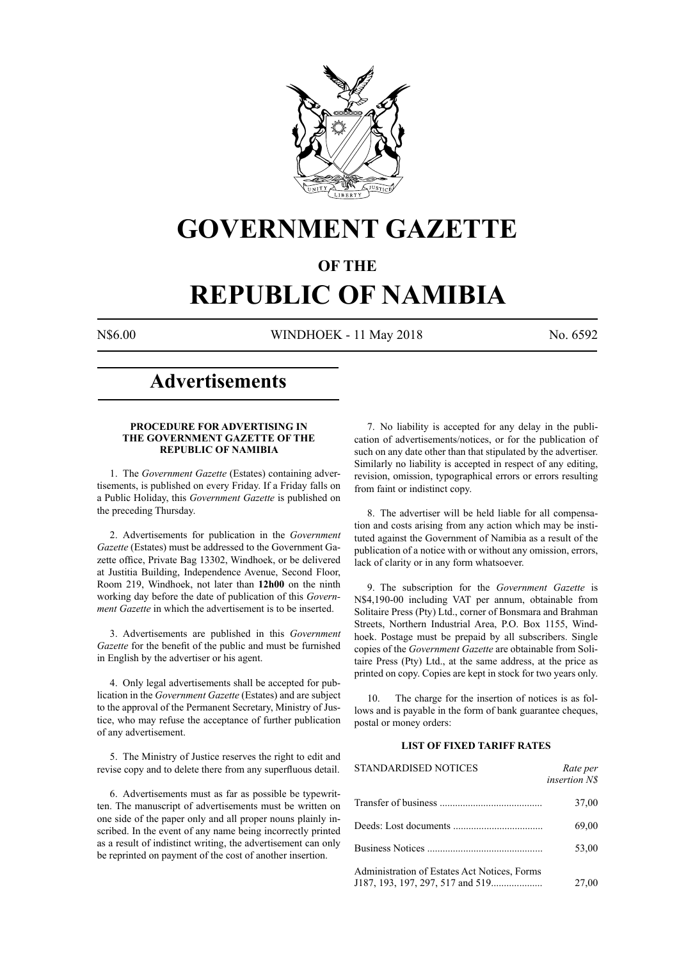

# **GOVERNMENT GAZETTE**

# **OF THE**

# **REPUBLIC OF NAMIBIA**

N\$6.00 WINDHOEK - 11 May 2018 No. 6592

# **Advertisements**

#### **PROCEDURE FOR ADVERTISING IN THE GOVERNMENT GAZETTE OF THE REPUBLIC OF NAMIBIA**

1. The *Government Gazette* (Estates) containing advertisements, is published on every Friday. If a Friday falls on a Public Holiday, this *Government Gazette* is published on the preceding Thursday.

2. Advertisements for publication in the *Government Gazette* (Estates) must be addressed to the Government Gazette office, Private Bag 13302, Windhoek, or be delivered at Justitia Building, Independence Avenue, Second Floor, Room 219, Windhoek, not later than **12h00** on the ninth working day before the date of publication of this *Government Gazette* in which the advertisement is to be inserted.

3. Advertisements are published in this *Government Gazette* for the benefit of the public and must be furnished in English by the advertiser or his agent.

4. Only legal advertisements shall be accepted for publication in the *Government Gazette* (Estates) and are subject to the approval of the Permanent Secretary, Ministry of Justice, who may refuse the acceptance of further publication of any advertisement.

5. The Ministry of Justice reserves the right to edit and revise copy and to delete there from any superfluous detail.

6. Advertisements must as far as possible be typewritten. The manuscript of advertisements must be written on one side of the paper only and all proper nouns plainly inscribed. In the event of any name being incorrectly printed as a result of indistinct writing, the advertisement can only be reprinted on payment of the cost of another insertion.

7. No liability is accepted for any delay in the publication of advertisements/notices, or for the publication of such on any date other than that stipulated by the advertiser. Similarly no liability is accepted in respect of any editing, revision, omission, typographical errors or errors resulting from faint or indistinct copy.

8. The advertiser will be held liable for all compensation and costs arising from any action which may be instituted against the Government of Namibia as a result of the publication of a notice with or without any omission, errors, lack of clarity or in any form whatsoever.

9. The subscription for the *Government Gazette* is N\$4,190-00 including VAT per annum, obtainable from Solitaire Press (Pty) Ltd., corner of Bonsmara and Brahman Streets, Northern Industrial Area, P.O. Box 1155, Windhoek. Postage must be prepaid by all subscribers. Single copies of the *Government Gazette* are obtainable from Solitaire Press (Pty) Ltd., at the same address, at the price as printed on copy. Copies are kept in stock for two years only.

10. The charge for the insertion of notices is as follows and is payable in the form of bank guarantee cheques, postal or money orders:

# **LIST OF FIXED TARIFF RATES**

| <b>STANDARDISED NOTICES</b>                  | Rate per<br><i>insertion NS</i> |
|----------------------------------------------|---------------------------------|
|                                              | 37,00                           |
|                                              | 69,00                           |
|                                              | 53,00                           |
| Administration of Estates Act Notices, Forms | 27,00                           |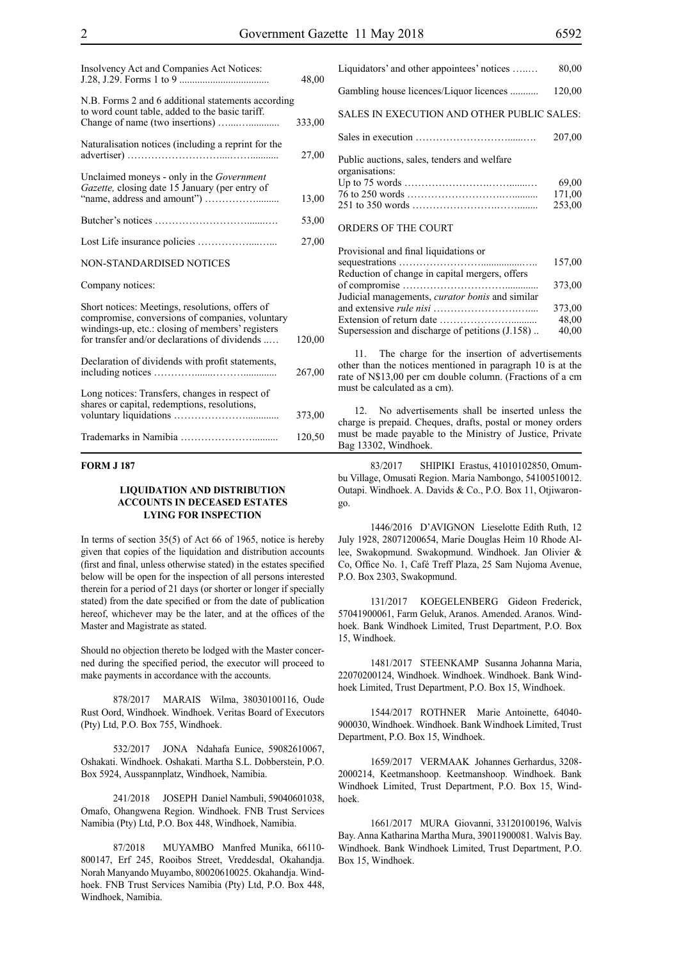| Insolvency Act and Companies Act Notices:                                                                                                                                                               | 48,00  |
|---------------------------------------------------------------------------------------------------------------------------------------------------------------------------------------------------------|--------|
| N.B. Forms 2 and 6 additional statements according<br>to word count table, added to the basic tariff.                                                                                                   | 333,00 |
| Naturalisation notices (including a reprint for the                                                                                                                                                     | 27,00  |
| Unclaimed moneys - only in the <i>Government</i><br>Gazette, closing date 15 January (per entry of                                                                                                      | 13,00  |
|                                                                                                                                                                                                         | 53,00  |
|                                                                                                                                                                                                         | 27,00  |
| <b>NON-STANDARDISED NOTICES</b>                                                                                                                                                                         |        |
| Company notices:                                                                                                                                                                                        |        |
| Short notices: Meetings, resolutions, offers of<br>compromise, conversions of companies, voluntary<br>windings-up, etc.: closing of members' registers<br>for transfer and/or declarations of dividends | 120,00 |
| Declaration of dividends with profit statements,                                                                                                                                                        | 267,00 |
| Long notices: Transfers, changes in respect of<br>shares or capital, redemptions, resolutions,                                                                                                          | 373,00 |
|                                                                                                                                                                                                         | 120,50 |

#### **FORM J 187**

#### **LIQUIDATION AND DISTRIBUTION ACCOUNTS IN DECEASED ESTATES LYING FOR INSPECTION**

In terms of section 35(5) of Act 66 of 1965, notice is hereby given that copies of the liquidation and distribution accounts (first and final, unless otherwise stated) in the estates specified below will be open for the inspection of all persons interested therein for a period of 21 days (or shorter or longer if specially stated) from the date specified or from the date of publication hereof, whichever may be the later, and at the offices of the Master and Magistrate as stated.

Should no objection thereto be lodged with the Master concerned during the specified period, the executor will proceed to make payments in accordance with the accounts.

878/2017 MARAIS Wilma, 38030100116, Oude Rust Oord, Windhoek. Windhoek. Veritas Board of Executors (Pty) Ltd, P.O. Box 755, Windhoek.

532/2017 JONA Ndahafa Eunice, 59082610067, Oshakati. Windhoek. Oshakati. Martha S.L. Dobberstein, P.O. Box 5924, Ausspannplatz, Windhoek, Namibia.

241/2018 JOSEPH Daniel Nambuli, 59040601038, Omafo, Ohangwena Region. Windhoek. FNB Trust Services Namibia (Pty) Ltd, P.O. Box 448, Windhoek, Namibia.

87/2018 MUYAMBO Manfred Munika, 66110- 800147, Erf 245, Rooibos Street, Vreddesdal, Okahandja. Norah Manyando Muyambo, 80020610025. Okahandja. Windhoek. FNB Trust Services Namibia (Pty) Ltd, P.O. Box 448, Windhoek, Namibia.

| Liquidators' and other appointees' notices                    | 80,00                     |
|---------------------------------------------------------------|---------------------------|
| Gambling house licences/Liquor licences                       | 120,00                    |
| SALES IN EXECUTION AND OTHER PUBLIC SALES:                    |                           |
|                                                               | 207,00                    |
| Public auctions, sales, tenders and welfare<br>organisations: | 69,00<br>171,00<br>253,00 |
| ORDERS OF THE COURT                                           |                           |

| Provisional and final liquidations or                  |        |
|--------------------------------------------------------|--------|
|                                                        | 157,00 |
| Reduction of change in capital mergers, offers         |        |
|                                                        | 373,00 |
| Judicial managements, <i>curator bonis</i> and similar |        |
|                                                        | 373,00 |
|                                                        | 48,00  |
| Supersession and discharge of petitions (J.158)        | 40,00  |
|                                                        |        |

11. The charge for the insertion of advertisements other than the notices mentioned in paragraph 10 is at the rate of N\$13,00 per cm double column. (Fractions of a cm must be calculated as a cm).

12. No advertisements shall be inserted unless the charge is prepaid. Cheques, drafts, postal or money orders must be made payable to the Ministry of Justice, Private Bag 13302, Windhoek.

83/2017 SHIPIKI Erastus, 41010102850, Omumbu Village, Omusati Region. Maria Nambongo, 54100510012. Outapi. Windhoek. A. Davids & Co., P.O. Box 11, Otjiwarongo.

1446/2016 D'AVIGNON Lieselotte Edith Ruth, 12 July 1928, 28071200654, Marie Douglas Heim 10 Rhode Allee, Swakopmund. Swakopmund. Windhoek. Jan Olivier & Co, Office No. 1, Café Treff Plaza, 25 Sam Nujoma Avenue, P.O. Box 2303, Swakopmund.

131/2017 KOEGELENBERG Gideon Frederick, 57041900061, Farm Geluk, Aranos. Amended. Aranos. Windhoek. Bank Windhoek Limited, Trust Department, P.O. Box 15, Windhoek.

1481/2017 STEENKAMP Susanna Johanna Maria, 22070200124, Windhoek. Windhoek. Windhoek. Bank Windhoek Limited, Trust Department, P.O. Box 15, Windhoek.

1544/2017 ROTHNER Marie Antoinette, 64040- 900030, Windhoek. Windhoek. Bank Windhoek Limited, Trust Department, P.O. Box 15, Windhoek.

1659/2017 VERMAAK Johannes Gerhardus, 3208- 2000214, Keetmanshoop. Keetmanshoop. Windhoek. Bank Windhoek Limited, Trust Department, P.O. Box 15, Windhoek.

1661/2017 MURA Giovanni, 33120100196, Walvis Bay. Anna Katharina Martha Mura, 39011900081. Walvis Bay. Windhoek. Bank Windhoek Limited, Trust Department, P.O. Box 15, Windhoek.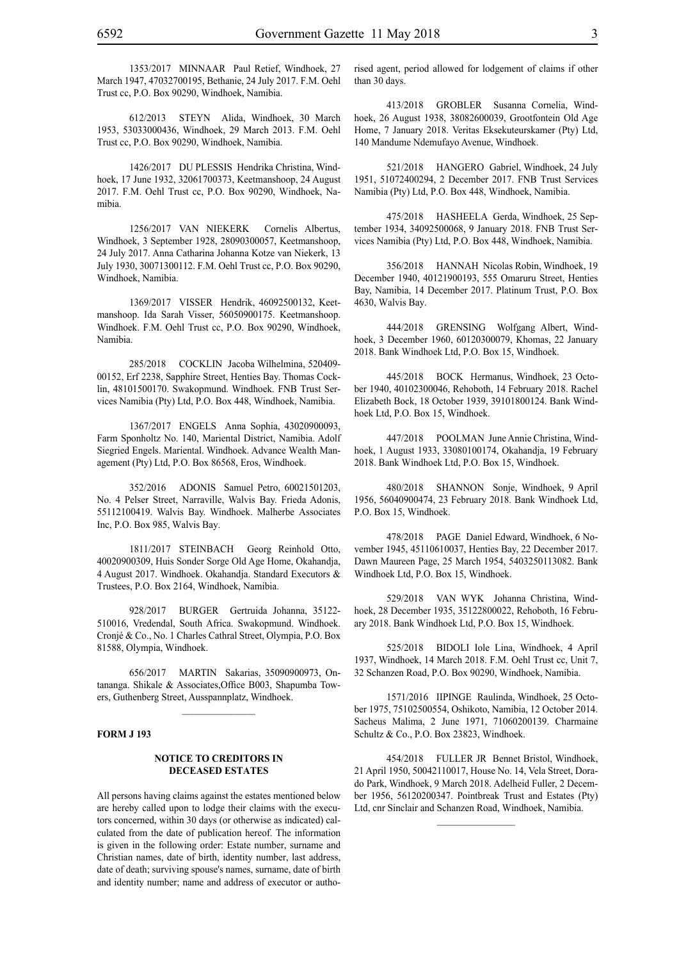612/2013 STEYN Alida, Windhoek, 30 March 1953, 53033000436, Windhoek, 29 March 2013. F.M. Oehl Trust cc, P.O. Box 90290, Windhoek, Namibia.

1426/2017 DU PLESSIS Hendrika Christina, Windhoek, 17 June 1932, 32061700373, Keetmanshoop, 24 August 2017. F.M. Oehl Trust cc, P.O. Box 90290, Windhoek, Namibia.

1256/2017 VAN NIEKERK Cornelis Albertus, Windhoek, 3 September 1928, 28090300057, Keetmanshoop, 24 July 2017. Anna Catharina Johanna Kotze van Niekerk, 13 July 1930, 30071300112. F.M. Oehl Trust cc, P.O. Box 90290, Windhoek, Namibia.

1369/2017 VISSER Hendrik, 46092500132, Keetmanshoop. Ida Sarah Visser, 56050900175. Keetmanshoop. Windhoek. F.M. Oehl Trust cc, P.O. Box 90290, Windhoek, Namibia.

285/2018 COCKLIN Jacoba Wilhelmina, 520409- 00152, Erf 2238, Sapphire Street, Henties Bay. Thomas Cocklin, 48101500170. Swakopmund. Windhoek. FNB Trust Services Namibia (Pty) Ltd, P.O. Box 448, Windhoek, Namibia.

1367/2017 ENGELS Anna Sophia, 43020900093, Farm Sponholtz No. 140, Mariental District, Namibia. Adolf Siegried Engels. Mariental. Windhoek. Advance Wealth Management (Pty) Ltd, P.O. Box 86568, Eros, Windhoek.

352/2016 ADONIS Samuel Petro, 60021501203, No. 4 Pelser Street, Narraville, Walvis Bay. Frieda Adonis, 55112100419. Walvis Bay. Windhoek. Malherbe Associates Inc, P.O. Box 985, Walvis Bay.

1811/2017 STEINBACH Georg Reinhold Otto, 40020900309, Huis Sonder Sorge Old Age Home, Okahandja, 4 August 2017. Windhoek. Okahandja. Standard Executors & Trustees, P.O. Box 2164, Windhoek, Namibia.

928/2017 BURGER Gertruida Johanna, 35122- 510016, Vredendal, South Africa. Swakopmund. Windhoek. Cronjé & Co., No. 1 Charles Cathral Street, Olympia, P.O. Box 81588, Olympia, Windhoek.

656/2017 MARTIN Sakarias, 35090900973, Ontananga. Shikale & Associates,Office B003, Shapumba Towers, Guthenberg Street, Ausspannplatz, Windhoek.

 $\frac{1}{2}$ 

#### **FORM J 193**

#### **NOTICE TO CREDITORS IN DECEASED ESTATES**

All persons having claims against the estates mentioned below are hereby called upon to lodge their claims with the executors concerned, within 30 days (or otherwise as indicated) calculated from the date of publication hereof. The information is given in the following order: Estate number, surname and Christian names, date of birth, identity number, last address, date of death; surviving spouse's names, surname, date of birth and identity number; name and address of executor or authorised agent, period allowed for lodgement of claims if other than 30 days.

413/2018 GROBLER Susanna Cornelia, Windhoek, 26 August 1938, 38082600039, Grootfontein Old Age Home, 7 January 2018. Veritas Eksekuteurskamer (Pty) Ltd, 140 Mandume Ndemufayo Avenue, Windhoek.

521/2018 HANGERO Gabriel, Windhoek, 24 July 1951, 51072400294, 2 December 2017. FNB Trust Services Namibia (Pty) Ltd, P.O. Box 448, Windhoek, Namibia.

475/2018 HASHEELA Gerda, Windhoek, 25 September 1934, 34092500068, 9 January 2018. FNB Trust Services Namibia (Pty) Ltd, P.O. Box 448, Windhoek, Namibia.

356/2018 HANNAH Nicolas Robin, Windhoek, 19 December 1940, 40121900193, 555 Omaruru Street, Henties Bay, Namibia, 14 December 2017. Platinum Trust, P.O. Box 4630, Walvis Bay.

444/2018 GRENSING Wolfgang Albert, Windhoek, 3 December 1960, 60120300079, Khomas, 22 January 2018. Bank Windhoek Ltd, P.O. Box 15, Windhoek.

445/2018 BOCK Hermanus, Windhoek, 23 October 1940, 40102300046, Rehoboth, 14 February 2018. Rachel Elizabeth Bock, 18 October 1939, 39101800124. Bank Windhoek Ltd, P.O. Box 15, Windhoek.

447/2018 POOLMAN June Annie Christina, Windhoek, 1 August 1933, 33080100174, Okahandja, 19 February 2018. Bank Windhoek Ltd, P.O. Box 15, Windhoek.

480/2018 SHANNON Sonje, Windhoek, 9 April 1956, 56040900474, 23 February 2018. Bank Windhoek Ltd, P.O. Box 15, Windhoek.

478/2018 PAGE Daniel Edward, Windhoek, 6 November 1945, 45110610037, Henties Bay, 22 December 2017. Dawn Maureen Page, 25 March 1954, 5403250113082. Bank Windhoek Ltd, P.O. Box 15, Windhoek.

529/2018 VAN WYK Johanna Christina, Windhoek, 28 December 1935, 35122800022, Rehoboth, 16 February 2018. Bank Windhoek Ltd, P.O. Box 15, Windhoek.

525/2018 BIDOLI Iole Lina, Windhoek, 4 April 1937, Windhoek, 14 March 2018. F.M. Oehl Trust cc, Unit 7, 32 Schanzen Road, P.O. Box 90290, Windhoek, Namibia.

1571/2016 IIPINGE Raulinda, Windhoek, 25 October 1975, 75102500554, Oshikoto, Namibia, 12 October 2014. Sacheus Malima, 2 June 1971, 71060200139. Charmaine Schultz & Co., P.O. Box 23823, Windhoek.

454/2018 FULLER JR Bennet Bristol, Windhoek, 21 April 1950, 50042110017, House No. 14, Vela Street, Dorado Park, Windhoek, 9 March 2018. Adelheid Fuller, 2 December 1956, 56120200347. Pointbreak Trust and Estates (Pty) Ltd, cnr Sinclair and Schanzen Road, Windhoek, Namibia.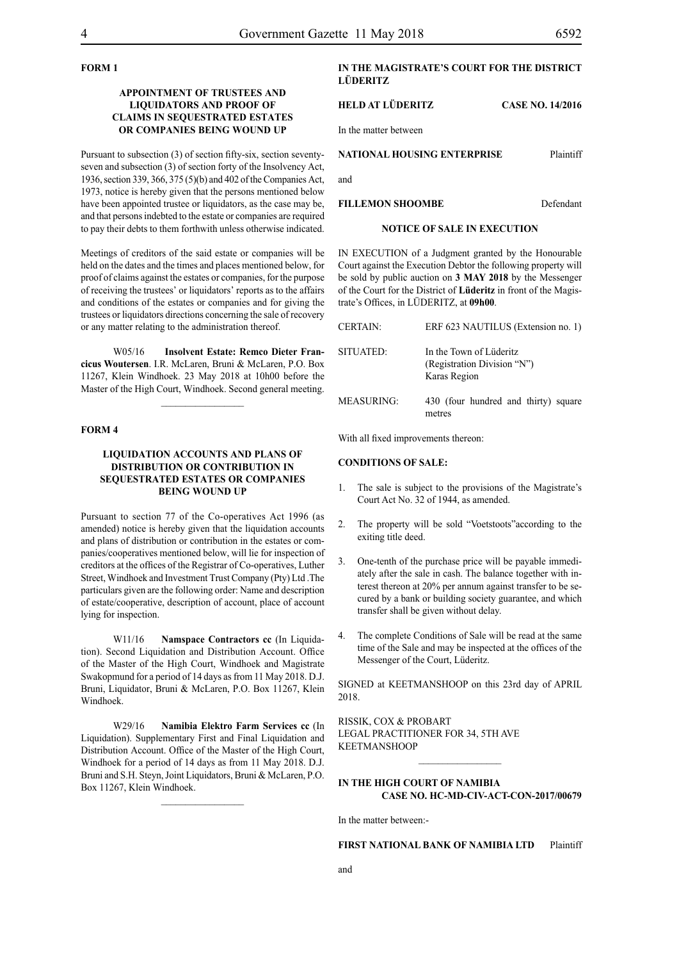# **FORM 1**

# **APPOINTMENT OF TRUSTEES AND LIQUIDATORS AND PROOF OF CLAIMS IN SEQUESTRATED ESTATES OR COMPANIES BEING WOUND UP**

Pursuant to subsection (3) of section fifty-six, section seventyseven and subsection (3) of section forty of the Insolvency Act, 1936, section 339, 366, 375 (5)(b) and 402 of the Companies Act, 1973, notice is hereby given that the persons mentioned below have been appointed trustee or liquidators, as the case may be, and that persons indebted to the estate or companies are required to pay their debts to them forthwith unless otherwise indicated.

Meetings of creditors of the said estate or companies will be held on the dates and the times and places mentioned below, for proof of claims against the estates or companies, for the purpose of receiving the trustees' or liquidators' reports as to the affairs and conditions of the estates or companies and for giving the trustees or liquidators directions concerning the sale of recovery or any matter relating to the administration thereof.

W05/16 **Insolvent Estate: Remco Dieter Francicus Woutersen**. I.R. McLaren, Bruni & McLaren, P.O. Box 11267, Klein Windhoek. 23 May 2018 at 10h00 before the Master of the High Court, Windhoek. Second general meeting.

# **FORM 4**

# **LIQUIDATION ACCOUNTS AND PLANS OF DISTRIBUTION OR CONTRIBUTION IN SEQUESTRATED ESTATES OR COMPANIES BEING WOUND UP**

Pursuant to section 77 of the Co-operatives Act 1996 (as amended) notice is hereby given that the liquidation accounts and plans of distribution or contribution in the estates or companies/cooperatives mentioned below, will lie for inspection of creditors at the offices of the Registrar of Co-operatives, Luther Street, Windhoek and Investment Trust Company (Pty) Ltd .The particulars given are the following order: Name and description of estate/cooperative, description of account, place of account lying for inspection.

W11/16 **Namspace Contractors cc** (In Liquidation). Second Liquidation and Distribution Account. Office of the Master of the High Court, Windhoek and Magistrate Swakopmund for a period of 14 days as from 11 May 2018. D.J. Bruni, Liquidator, Bruni & McLaren, P.O. Box 11267, Klein Windhoek.

W29/16 **Namibia Elektro Farm Services cc** (In Liquidation). Supplementary First and Final Liquidation and Distribution Account. Office of the Master of the High Court, Windhoek for a period of 14 days as from 11 May 2018. D.J. Bruni and S.H. Steyn, Joint Liquidators, Bruni & McLaren, P.O. Box 11267, Klein Windhoek.

# **IN THE MAGISTRATE'S COURT FOR THE DISTRICT LÜDERITZ**

#### **HELD AT LÜDERITZ CASE NO. 14/2016**

In the matter between

#### **NATIONAL HOUSING ENTERPRISE** Plaintiff

and

**FILLEMON SHOOMBE** Defendant

#### **NOTICE OF SALE IN EXECUTION**

IN EXECUTION of a Judgment granted by the Honourable Court against the Execution Debtor the following property will be sold by public auction on **3 MAY 2018** by the Messenger of the Court for the District of **Lüderitz** in front of the Magistrate's Offices, in LÜDERITZ, at **09h00**.

| <b>CERTAIN:</b>   | ERF 623 NAUTILUS (Extension no. 1)                                     |
|-------------------|------------------------------------------------------------------------|
| SITUATED:         | In the Town of Lüderitz<br>(Registration Division "N")<br>Karas Region |
| <b>MEASURING:</b> | 430 (four hundred and thirty) square<br>metres                         |

With all fixed improvements thereon:

### **CONDITIONS OF SALE:**

- 1. The sale is subject to the provisions of the Magistrate's Court Act No. 32 of 1944, as amended.
- 2. The property will be sold "Voetstoots"according to the exiting title deed.
- 3. One-tenth of the purchase price will be payable immediately after the sale in cash. The balance together with interest thereon at 20% per annum against transfer to be secured by a bank or building society guarantee, and which transfer shall be given without delay.
- 4. The complete Conditions of Sale will be read at the same time of the Sale and may be inspected at the offices of the Messenger of the Court, Lüderitz.

SIGNED at KEETMANSHOOP on this 23rd day of APRIL 2018.

RISSIK, COX & PROBART Legal Practitioner for 34, 5th Ave KEETMANSHOOP

# **IN THE HIGH COURT OF NAMIBIA CASE No. HC-MD-CIV-ACT-CON-2017/00679**

 $\frac{1}{2}$ 

In the matter between:-

# **FIRST NATIONAL BANK OF NAMIBIA LTD** Plaintiff

and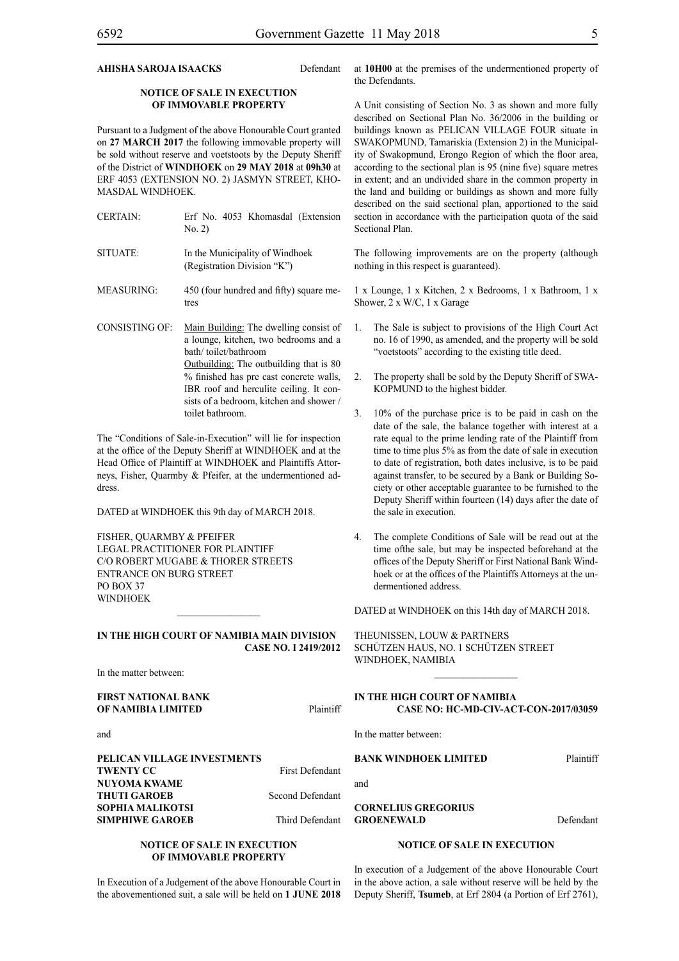# **AHISHA SAROJA ISAACKS** Defendant

# **NOTICE OF SALE IN EXECUTION OF IMMOVABLE PROPERTY**

Pursuant to a Judgment of the above Honourable Court granted on **27 MARCH 2017** the following immovable property will be sold without reserve and voetstoots by the Deputy Sheriff of the District of **WINDHOEK** on **29 MAY 2018** at **09h30** at ERF 4053 (EXTENSION NO. 2) JASMYN STREET, KHO-MASDAL WINDHOEK.

| <b>CERTAIN:</b>       | Erf No. 4053 Khomasdal (Extension<br>No. 2)                                                                                                                                                                                                                                          |
|-----------------------|--------------------------------------------------------------------------------------------------------------------------------------------------------------------------------------------------------------------------------------------------------------------------------------|
| SITUATE:              | In the Municipality of Windhoek<br>(Registration Division "K")                                                                                                                                                                                                                       |
| <b>MEASURING:</b>     | 450 (four hundred and fifty) square me-<br>tres                                                                                                                                                                                                                                      |
| <b>CONSISTING OF:</b> | Main Building: The dwelling consist of<br>a lounge, kitchen, two bedrooms and a<br>bath/toilet/bathroom<br>Outbuilding: The outbuilding that is 80<br>% finished has pre cast concrete walls,<br>IBR roof and herculite ceiling. It con-<br>sists of a bedroom, kitchen and shower / |

The "Conditions of Sale-in-Execution" will lie for inspection at the office of the Deputy Sheriff at WINDHOEK and at the Head Office of Plaintiff at WINDHOEK and Plaintiffs Attorneys, Fisher, Quarmby & Pfeifer, at the undermentioned address.

toilet bathroom.

DATED at WINDHOEK this 9th day of MARCH 2018.

FISHER, QUARMBY & PFEIFER LEGAL PRACTITIONER FOR Plaintiff c/o Robert Mugabe & Thorer Streets entrance on Burg Street PO BOX 37 **WINDHOFK** 

#### **IN THE HIGH COURT OF NAMIBIA MAIN DIVISION CASE NO. I 2419/2012**

 $\frac{1}{2}$ 

In the matter between:

**FIRST NATIONAL BANK OF NAMIBIA LIMITED** Plaintiff

and

**PELICAN VILLAGE INVESTMENTS TWENTY CC** First Defendant **NUYOMA KWAME THUTI GAROEB** Second Defendant **SOPHIA MALIKOTSI SIMPHIWE GAROEB** Third Defendant

#### **NOTICE OF SALE IN EXECUTION OF IMMOVABLE PROPERTY**

In Execution of a Judgement of the above Honourable Court in the abovementioned suit, a sale will be held on **1 JUNE 2018** 

at **10H00** at the premises of the undermentioned property of the Defendants.

A Unit consisting of Section No. 3 as shown and more fully described on Sectional Plan No. 36/2006 in the building or buildings known as PELICAN VILLAGE FOUR situate in SWAKOPMUND, Tamariskia (Extension 2) in the Municipality of Swakopmund, Erongo Region of which the floor area, according to the sectional plan is 95 (nine five) square metres in extent; and an undivided share in the common property in the land and building or buildings as shown and more fully described on the said sectional plan, apportioned to the said section in accordance with the participation quota of the said Sectional Plan.

The following improvements are on the property (although nothing in this respect is guaranteed).

1 x Lounge, 1 x Kitchen, 2 x Bedrooms, 1 x Bathroom, 1 x Shower, 2 x W/C, 1 x Garage

- 1. The Sale is subject to provisions of the High Court Act no. 16 of 1990, as amended, and the property will be sold "voetstoots" according to the existing title deed.
- 2. The property shall be sold by the Deputy Sheriff of SWA-KOPMUND to the highest bidder.
- 3. 10% of the purchase price is to be paid in cash on the date of the sale, the balance together with interest at a rate equal to the prime lending rate of the Plaintiff from time to time plus 5% as from the date of sale in execution to date of registration, both dates inclusive, is to be paid against transfer, to be secured by a Bank or Building Society or other acceptable guarantee to be furnished to the Deputy Sheriff within fourteen (14) days after the date of the sale in execution.
- 4. The complete Conditions of Sale will be read out at the time ofthe sale, but may be inspected beforehand at the offices of the Deputy Sheriff or First National Bank Windhoek or at the offices of the Plaintiffs Attorneys at the undermentioned address.

DATED at WINDHOEK on this 14th day of MARCH 2018.

THEUNISSEN, LOUW & PARTNERS Schützen Haus, No. 1 Schützen Street WINDHOEK, NAMIBIA

# **IN THE HIGH COURT OF NAMIBIA CASE NO: HC-MD-CIV-ACT-CON-2017/03059**

 $\frac{1}{2}$ 

In the matter between:

**BANK WINDHOEK LIMITED** Plaintiff

and

**CORNELIUS GREGORIUS**  GROENEWALD Defendant

#### **NOTICE OF SALE IN EXECUTION**

In execution of a Judgement of the above Honourable Court in the above action, a sale without reserve will be held by the Deputy Sheriff, **Tsumeb**, at Erf 2804 (a Portion of Erf 2761),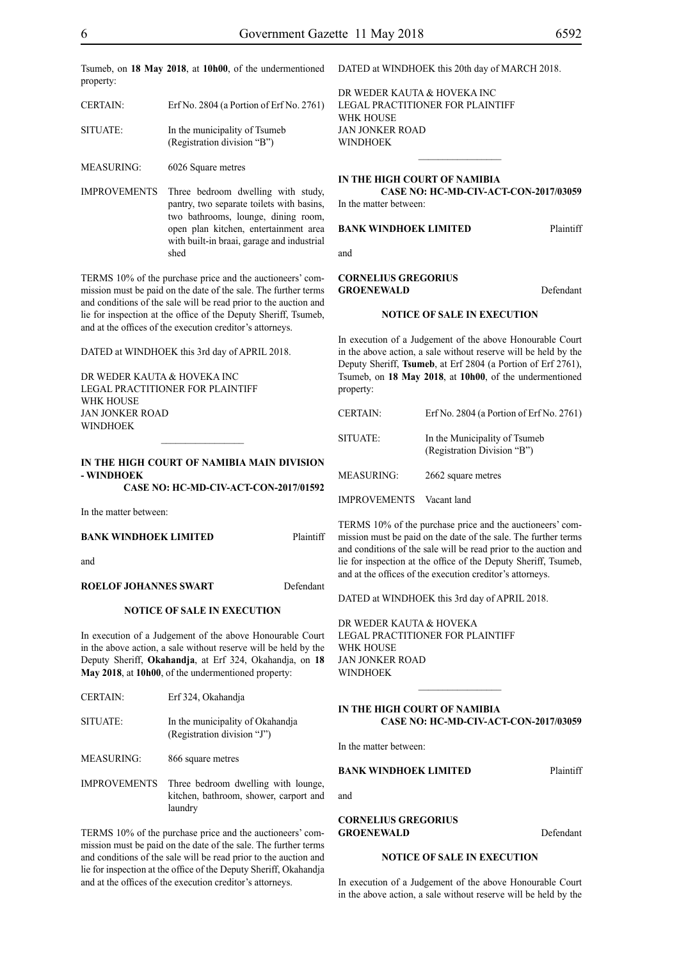Tsumeb, on **18 May 2018**, at **10h00**, of the undermentioned DATED at WINDHOEK this 20th day of MARCH 2018. property:

| <b>CERTAIN:</b> | Erf No. 2804 (a Portion of Erf No. 2761)                     |
|-----------------|--------------------------------------------------------------|
| SITUATE:        | In the municipality of Tsumeb<br>(Registration division "B") |

MEASURING: 6026 Square metres

IMPROVEMENTS Three bedroom dwelling with study, pantry, two separate toilets with basins, two bathrooms, lounge, dining room, open plan kitchen, entertainment area with built-in braai, garage and industrial shed

TERMS 10% of the purchase price and the auctioneers' commission must be paid on the date of the sale. The further terms and conditions of the sale will be read prior to the auction and lie for inspection at the office of the Deputy Sheriff, Tsumeb, and at the offices of the execution creditor's attorneys.

DATED at WINDHOEK this 3rd day of APRIL 2018.

DR WEDER KAUTA & HOVEKA INC Legal Practitioner for Plaintiff WHK HOUSE Jan Jonker Road WINDHOEK

# **IN THE HIGH COURT OF NAMIBIA MAIN DIVISION - WINDHOEK**

 $\frac{1}{2}$ 

**CASE NO: HC-MD-CIV-ACT-CON-2017/01592**

In the matter between:

#### **BANK WINDHOEK LIMITED** Plaintiff

and

#### **ROELOF JOHANNES SWART** Defendant

#### **NOTICE OF SALE IN EXECUTION**

In execution of a Judgement of the above Honourable Court in the above action, a sale without reserve will be held by the Deputy Sheriff, **Okahandja**, at Erf 324, Okahandja, on **18 May 2018**, at **10h00**, of the undermentioned property:

| <b>CERTAIN:</b>     | Erf 324, Okahandia                                                                       |
|---------------------|------------------------------------------------------------------------------------------|
| SITUATE:            | In the municipality of Okahandia<br>(Registration division "J")                          |
| <b>MEASURING:</b>   | 866 square metres                                                                        |
| <b>IMPROVEMENTS</b> | Three bedroom dwelling with lounge,<br>kitchen, bathroom, shower, carport and<br>laundry |

TERMS 10% of the purchase price and the auctioneers' commission must be paid on the date of the sale. The further terms and conditions of the sale will be read prior to the auction and lie for inspection at the office of the Deputy Sheriff, Okahandja and at the offices of the execution creditor's attorneys.

DR WEDER KAUTA & HOVEKA INC Legal Practitioner for Plaintiff WHK House Jan Jonker Road **WINDHOEK** 

#### **IN THE HIGH COURT OF NAMIBIA**

#### **CASE NO: HC-MD-CIV-ACT-CON-2017/03059** In the matter between:

 $\frac{1}{2}$ 

#### **BANK WINDHOEK LIMITED** Plaintiff

and

#### **CORNELIUS GREGORIUS**  GROENEWALD Defendant

#### **NOTICE OF SALE IN EXECUTION**

In execution of a Judgement of the above Honourable Court in the above action, a sale without reserve will be held by the Deputy Sheriff, **Tsumeb**, at Erf 2804 (a Portion of Erf 2761), Tsumeb, on **18 May 2018**, at **10h00**, of the undermentioned property:

| <b>CERTAIN:</b>     | Erf No. 2804 (a Portion of Erf No. 2761)                     |
|---------------------|--------------------------------------------------------------|
| SITUATE:            | In the Municipality of Tsumeb<br>(Registration Division "B") |
| <b>MEASURING:</b>   | 2662 square metres                                           |
| <b>IMPROVEMENTS</b> | Vacant land                                                  |

TERMS 10% of the purchase price and the auctioneers' commission must be paid on the date of the sale. The further terms and conditions of the sale will be read prior to the auction and lie for inspection at the office of the Deputy Sheriff, Tsumeb, and at the offices of the execution creditor's attorneys.

DATED at WINDHOEK this 3rd day of APRIL 2018.

DR WEDER KAUTA & HOVEKA Legal Practitioner for Plaintiff WHK HOUSE Jan Jonker Road WINDHOEK

#### **IN THE HIGH COURT OF NAMIBIA CASE NO: HC-MD-CIV-ACT-CON-2017/03059**

 $\mathcal{L}_\text{max}$ 

In the matter between:

and

#### **BANK WINDHOEK LIMITED** Plaintiff

**CORNELIUS GREGORIUS**  GROENEWALD Defendant

#### **NOTICE OF SALE IN EXECUTION**

In execution of a Judgement of the above Honourable Court in the above action, a sale without reserve will be held by the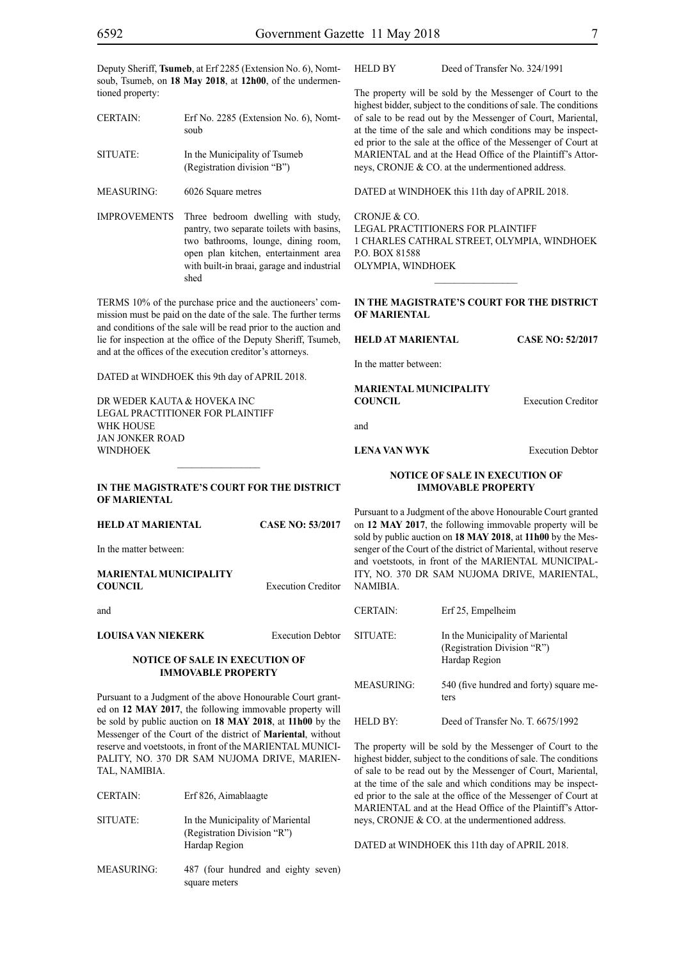Deputy Sheriff, **Tsumeb**, at Erf 2285 (Extension No. 6), Nomtsoub, Tsumeb, on **18 May 2018**, at **12h00**, of the undermentioned property:

CERTAIN: Erf No. 2285 (Extension No. 6), Nomtsoub SITUATE: In the Municipality of Tsumeb (Registration division "B")

MEASURING: 6026 Square metres

IMPROVEMENTS Three bedroom dwelling with study, pantry, two separate toilets with basins, two bathrooms, lounge, dining room, open plan kitchen, entertainment area with built-in braai, garage and industrial shed

TERMS 10% of the purchase price and the auctioneers' commission must be paid on the date of the sale. The further terms and conditions of the sale will be read prior to the auction and lie for inspection at the office of the Deputy Sheriff, Tsumeb, and at the offices of the execution creditor's attorneys.

DATED at WINDHOEK this 9th day of APRIL 2018.

DR WEDER KAUTA & HOVEKA INC. Legal Practitioner for Plaintiff WHK HOUSE Jan Jonker Road WINDHOEK

#### **IN THE MAGISTRATE'S COURT FOR THE DISTRICT OF MARIENTAL**

 $\frac{1}{2}$ 

| HELD AT MARIENTAL                                                                                                                                                                    | <b>CASE NO: 53/2017</b>   |
|--------------------------------------------------------------------------------------------------------------------------------------------------------------------------------------|---------------------------|
| In the matter between:                                                                                                                                                               |                           |
| MARIENTAL MUNICIPALITY<br>COUNCIL                                                                                                                                                    | <b>Execution Creditor</b> |
| and                                                                                                                                                                                  |                           |
| LOUISA VAN NIEKERK                                                                                                                                                                   | <b>Execution Debtor</b>   |
| NOTICE OF SALE IN EXECUTION OF<br><b>IMMOVABLE PROPERTY</b>                                                                                                                          |                           |
| Pursuant to a Judgment of the above Honourable Court grant-<br>ed on 12 MAY 2017, the following immovable property will<br>be sold by public auction on 18 MAY 2018, at 11h00 by the |                           |

be sold by public auction on **18 MAY 2018**, at **11h00** by the Messenger of the Court of the district of **Mariental**, without reserve and voetstoots, in front of the MARIENTAL MUNICI-PALITY, NO. 370 DR SAM NUJOMA DRIVE, MARIEN-TAL, NAMIBIA.

CERTAIN: Erf 826, Aimablaagte

- SITUATE: In the Municipality of Mariental (Registration Division "R") Hardap Region
- MEASURING: 487 (four hundred and eighty seven) square meters

The property will be sold by the Messenger of Court to the highest bidder, subject to the conditions of sale. The conditions of sale to be read out by the Messenger of Court, Mariental, at the time of the sale and which conditions may be inspected prior to the sale at the office of the Messenger of Court at MARIENTAL and at the Head Office of the Plaintiff's Attorneys, CRONJE & CO. at the undermentioned address.

DATED at WINDHOEK this 11th day of APRIL 2018.

CRONJE & CO. LEGAL PRACTITIONERS FOR Plaintiff 1 CHARLES CATHRAL STREET, OLYMPIA, WINDHOEK P.O. BOX 81588 OLYMPIA, WINDHOEK

 $\frac{1}{2}$ 

#### **IN THE MAGISTRATE'S COURT FOR THE DISTRICT OF MARIENTAL**

**HELD AT MARIENTAL CASE NO: 52/2017**

In the matter between:

**MARIENTAL MUNICIPALITY COUNCIL** Execution Creditor

and

# **LENA VAN WYK** Execution Debtor

### **NOTICE OF SALE IN EXECUTION OF IMMOVABLE PROPERTY**

Pursuant to a Judgment of the above Honourable Court granted on **12 MAY 2017**, the following immovable property will be sold by public auction on **18 MAY 2018**, at **11h00** by the Messenger of the Court of the district of Mariental, without reserve and voetstoots, in front of the MARIENTAL MUNICIPAL-ITY, NO. 370 DR SAM NUJOMA DRIVE, MARIENTAL, NAMIBIA.

| <b>CERTAIN:</b>      | Erf 25, Empelheim                                                                |
|----------------------|----------------------------------------------------------------------------------|
| SITUATE:             | In the Municipality of Mariental<br>(Registration Division "R")<br>Hardap Region |
| MEASURING:           | 540 (five hundred and forty) square me-<br>ters                                  |
| HELD RY <sup>.</sup> | Deed of Transfer No. T. 6675/1992                                                |

The property will be sold by the Messenger of Court to the highest bidder, subject to the conditions of sale. The conditions of sale to be read out by the Messenger of Court, Mariental, at the time of the sale and which conditions may be inspected prior to the sale at the office of the Messenger of Court at MARIENTAL and at the Head Office of the Plaintiff's Attorneys, CRONJE & CO. at the undermentioned address.

DATED at WINDHOEK this 11th day of APRIL 2018.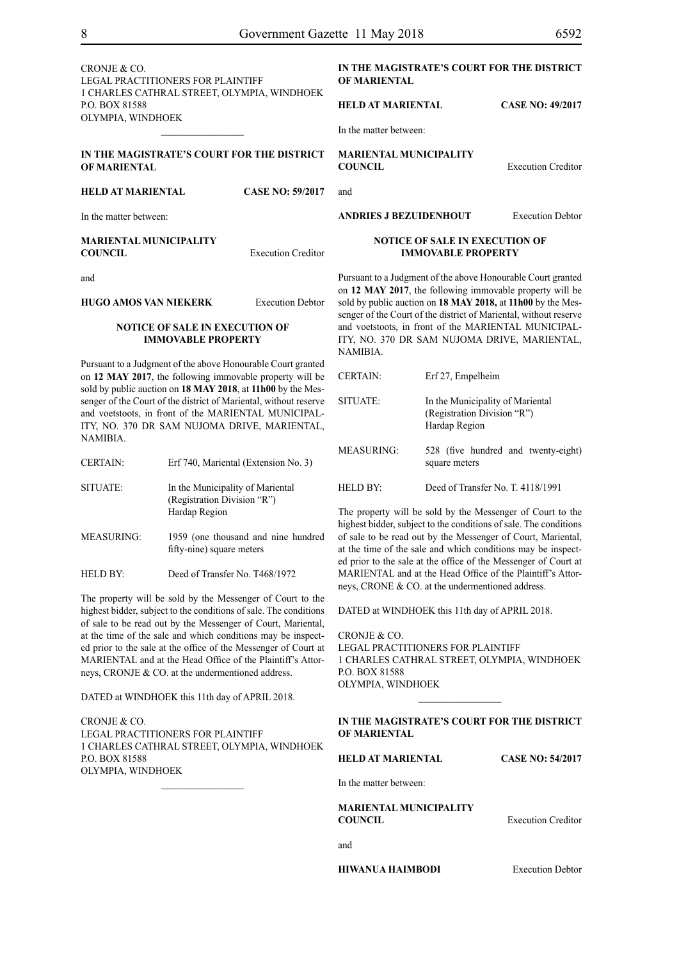LEGAL PRACTITIONERS FOR Plaintiff 1 CHARLES CATHRAL STREET, OLYMPIA, WINDHOEK P.O. BOX 81588 OLYMPIA, WINDHOEK  $\frac{1}{2}$ 

# **IN THE MAGISTRATE'S COURT FOR THE DISTRICT OF MARIENTAL**

# **HELD AT MARIENTAL CASE NO: 59/2017**

In the matter between:

#### **MARIENTAL MUNICIPALITY COUNCIL** Execution Creditor

and

# **HUGO AMOS VAN NIEKERK** Execution Debtor

# **NOTICE OF SALE IN EXECUTION OF IMMOVABLE PROPERTY**

Pursuant to a Judgment of the above Honourable Court granted on **12 MAY 2017**, the following immovable property will be sold by public auction on **18 MAY 2018**, at **11h00** by the Messenger of the Court of the district of Mariental, without reserve and voetstoots, in front of the MARIENTAL MUNICIPAL-ITY, NO. 370 DR SAM NUJOMA DRIVE, MARIENTAL, NAMIBIA.

| <b>CERTAIN:</b>   | Erf 740, Mariental (Extension No. 3)                                             |
|-------------------|----------------------------------------------------------------------------------|
| SITUATE:          | In the Municipality of Mariental<br>(Registration Division "R")<br>Hardap Region |
| <b>MEASURING:</b> | 1959 (one thousand and nine hundred<br>fifty-nine) square meters                 |

HELD BY: Deed of Transfer No. T468/1972

The property will be sold by the Messenger of Court to the highest bidder, subject to the conditions of sale. The conditions of sale to be read out by the Messenger of Court, Mariental, at the time of the sale and which conditions may be inspected prior to the sale at the office of the Messenger of Court at MARIENTAL and at the Head Office of the Plaintiff's Attorneys, CRONJE & CO. at the undermentioned address.

DATED at WINDHOEK this 11th day of APRIL 2018.

CRONJE & CO. LEGAL PRACTITIONERS FOR Plaintiff 1 CHARLES CATHRAL STREET, OLYMPIA, WINDHOEK P.O. BOX 81588 OLYMPIA, WINDHOEK

# **IN THE MAGISTRATE'S COURT FOR THE DISTRICT OF MARIENTAL**

### **HELD AT MARIENTAL CASE NO: 49/2017**

In the matter between:

**MARIENTAL MUNICIPALITY COUNCIL** Execution Creditor

and

**ANDRIES J BEZUIDENHOUT** Execution Debtor

# **NOTICE OF SALE IN EXECUTION OF IMMOVABLE PROPERTY**

Pursuant to a Judgment of the above Honourable Court granted on **12 MAY 2017**, the following immovable property will be sold by public auction on **18 MAY 2018,** at **11h00** by the Messenger of the Court of the district of Mariental, without reserve and voetstoots, in front of the MARIENTAL MUNICIPAL-ITY, NO. 370 DR SAM NUJOMA DRIVE, MARIENTAL, NAMIBIA.

| <b>CERTAIN:</b>      | Erf 27, Empelheim                                                                |
|----------------------|----------------------------------------------------------------------------------|
| SITUATE:             | In the Municipality of Mariental<br>(Registration Division "R")<br>Hardap Region |
| MEASURING:           | 528 (five hundred and twenty-eight)<br>square meters                             |
| HELD BY <sup>.</sup> | Deed of Transfer No. T. 4118/1991                                                |

The property will be sold by the Messenger of Court to the highest bidder, subject to the conditions of sale. The conditions of sale to be read out by the Messenger of Court, Mariental, at the time of the sale and which conditions may be inspected prior to the sale at the office of the Messenger of Court at MARIENTAL and at the Head Office of the Plaintiff's Attorneys, CRONE & CO. at the undermentioned address.

DATED at WINDHOEK this 11th day of APRIL 2018.

CRONJE & CO. LEGAL PRACTITIONERS FOR Plaintiff 1 CHARLES CATHRAL STREET, OLYMPIA, WINDHOEK P.O. BOX 81588 OLYMPIA, WINDHOEK  $\frac{1}{2}$ 

# **IN THE MAGISTRATE'S COURT FOR THE DISTRICT OF MARIENTAL**

**HELD AT MARIENTAL CASE NO: 54/2017**

In the matter between:

**MARIENTAL MUNICIPALITY COUNCIL** Execution Creditor

and

**HIWANUA HAIMBODI** Execution Debtor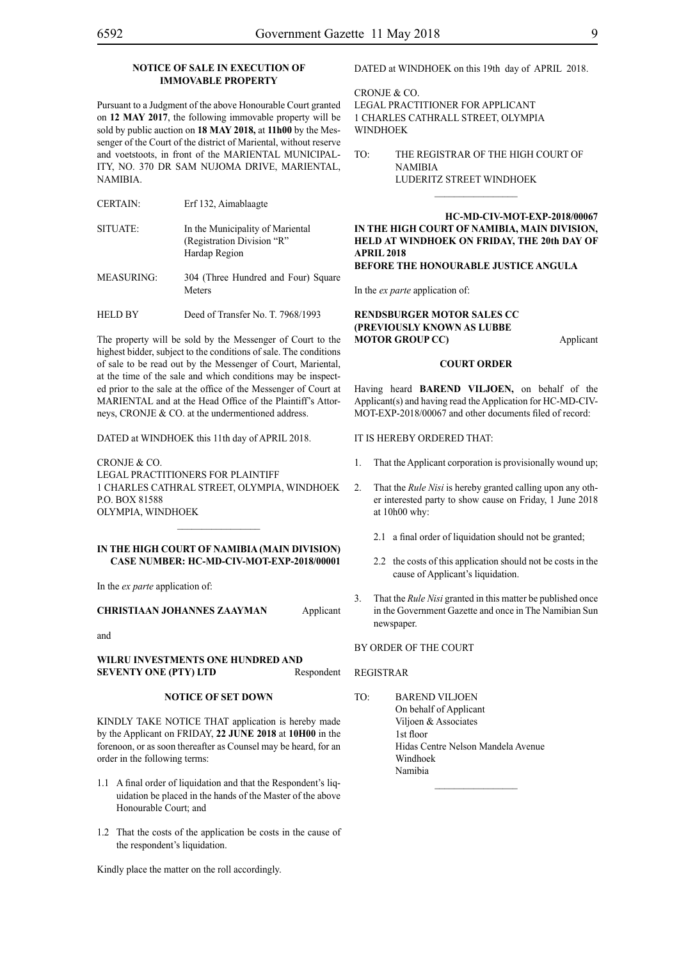# **NOTICE OF SALE IN EXECUTION OF IMMOVABLE PROPERTY**

Pursuant to a Judgment of the above Honourable Court granted on **12 MAY 2017**, the following immovable property will be sold by public auction on **18 MAY 2018,** at **11h00** by the Messenger of the Court of the district of Mariental, without reserve and voetstoots, in front of the MARIENTAL MUNICIPAL-ITY, NO. 370 DR SAM NUJOMA DRIVE, MARIENTAL, NAMIBIA.

- CERTAIN: Erf 132, Aimablaagte
- SITUATE: In the Municipality of Mariental (Registration Division "R" Hardap Region MEASURING: 304 (Three Hundred and Four) Square Meters
- HELD BY Deed of Transfer No. T. 7968/1993

The property will be sold by the Messenger of Court to the highest bidder, subject to the conditions of sale. The conditions of sale to be read out by the Messenger of Court, Mariental, at the time of the sale and which conditions may be inspected prior to the sale at the office of the Messenger of Court at MARIENTAL and at the Head Office of the Plaintiff's Attorneys, CRONJE & CO. at the undermentioned address.

DATED at WINDHOEK this 11th day of APRIL 2018.

CRONJE & CO. LEGAL PRACTITIONERS FOR Plaintiff 1 CHARLES CATHRAL STREET, OLYMPIA, WINDHOEK P.O. BOX 81588 OLYMPIA, WINDHOEK

#### **IN THE HIGH COURT OF NAMIBIA (MAIN DIVISION) Case Number: HC-MD-CIV-MOT-EXP-2018/00001**

 $\frac{1}{2}$ 

In the *ex parte* application of:

**CHRISTIAAN JOHANNES ZAAYMAN** Applicant

and

**WILRU INVESTMENTS ONE HUNDRED AND SEVENTY ONE (PTY) LTD** Respondent

# **NOTICE OF SET DOWN**

KINDLY TAKE NOTICE THAT application is hereby made by the Applicant on FRIDAY, **22 JUNE 2018** at **10H00** in the forenoon, or as soon thereafter as Counsel may be heard, for an order in the following terms:

- 1.1 A final order of liquidation and that the Respondent's liquidation be placed in the hands of the Master of the above Honourable Court; and
- 1.2 That the costs of the application be costs in the cause of the respondent's liquidation.

Kindly place the matter on the roll accordingly.

DATED at WINDHOEK on this 19th day of APRIL 2018.

CRONJE & CO. LEGAL PRACTITIONER FOR Applicant 1 Charles Cathrall Street, Olympia WINDHOEK

TO: THE REGISTRAR OF THE HIGH COURT OF NAMIBIA LUDERITZ STREET WINDHOEK  $\frac{1}{2}$ 

**HC-MD-CIV-MOT-EXP-2018/00067 IN THE HIGH COURT OF NAMIBIA, MAIN DIVISION, HELD AT WINDHOEK ON FRIDAY, THE 20th DAY OF APRIL 2018 BEFORE THE HONOURABLE JUSTICE ANGULA**

In the *ex parte* application of:

## **RENDSBURGER MOTOR SALES CC (PREVIOUSLY KNOWN AS LUBBE MOTOR GROUP CC)** Applicant

#### **COURT ORDER**

Having heard **BAREND VILJOEN,** on behalf of the Applicant(s) and having read the Application for HC-MD-CIV-MOT-EXP-2018/00067 and other documents filed of record:

#### IT IS HEREBY ORDERED THAT:

- 1. That the Applicant corporation is provisionally wound up;
- 2. That the *Rule Nisi* is hereby granted calling upon any other interested party to show cause on Friday, 1 June 2018 at 10h00 why:
	- 2.1 a final order of liquidation should not be granted;
	- 2.2 the costs of this application should not be costs in the cause of Applicant's liquidation.
- 3. That the *Rule Nisi* granted in this matter be published once in the Government Gazette and once in The Namibian Sun newspaper.

### BY ORDER OF THE COURT

#### REGISTRAR

TO: BAREND VILJOEN On behalf of Applicant Viljoen & Associates 1st floor Hidas Centre Nelson Mandela Avenue Windhoek Namibia